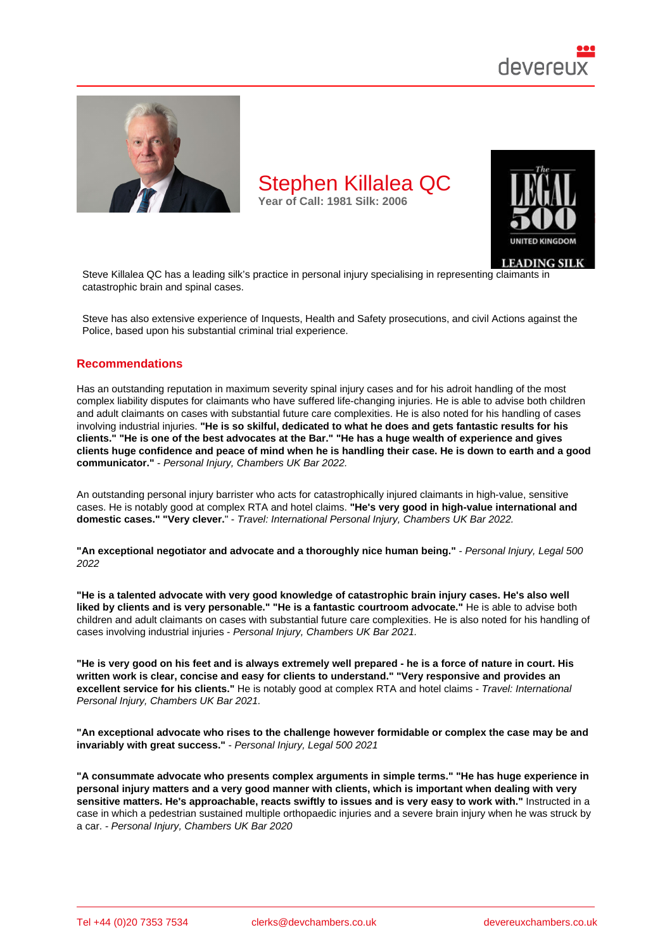

Steve Killalea QC has a leading silk's practice in personal injury specialising in representing claimants in catastrophic brain and spinal cases.

Steve has also extensive experience of Inquests, Health and Safety prosecutions, and civil Actions against the Police, based upon his substantial criminal trial experience.

#### Recommendations

Has an outstanding reputation in maximum severity spinal injury cases and for his adroit handling of the most complex liability disputes for claimants who have suffered life-changing injuries. He is able to advise both children and adult claimants on cases with substantial future care complexities. He is also noted for his handling of cases involving industrial injuries. "He is so skilful, dedicated to what he does and gets fantastic results for his clients." "He is one of the best advocates at the Bar." "He has a huge wealth of experience and gives clients huge confidence and peace of mind when he is handling their case. He is down to earth and a good communicator." - Personal Injury, Chambers UK Bar 2022.

An outstanding personal injury barrister who acts for catastrophically injured claimants in high-value, sensitive cases. He is notably good at complex RTA and hotel claims. "He's very good in high-value international and domestic cases." "Very clever. " - Travel: International Personal Injury, Chambers UK Bar 2022.

"An exceptional negotiator and advocate and a thoroughly nice human being." - Personal Injury, Legal 500 2022

"He is a talented advocate with very good knowledge of catastrophic brain injury cases. He's also well liked by clients and is very personable." "He is a fantastic courtroom advocate." He is able to advise both children and adult claimants on cases with substantial future care complexities. He is also noted for his handling of cases involving industrial injuries - Personal Injury, Chambers UK Bar 2021.

"He is very good on his feet and is always extremely well prepared - he is a force of nature in court. His written work is clear, concise and easy for clients to understand." "Very responsive and provides an excellent service for his clients." He is notably good at complex RTA and hotel claims - Travel: International Personal Injury, Chambers UK Bar 2021.

"An exceptional advocate who rises to the challenge however formidable or complex the case may be and invariably with great success." - Personal Injury, Legal 500 2021

"A consummate advocate who presents complex arguments in simple terms." "He has huge experience in personal injury matters and a very good manner with clients, which is important when dealing with very sensitive matters. He's approachable, reacts swiftly to issues and is very easy to work with." Instructed in a case in which a pedestrian sustained multiple orthopaedic injuries and a severe brain injury when he was struck by a car. - Personal Injury, Chambers UK Bar 2020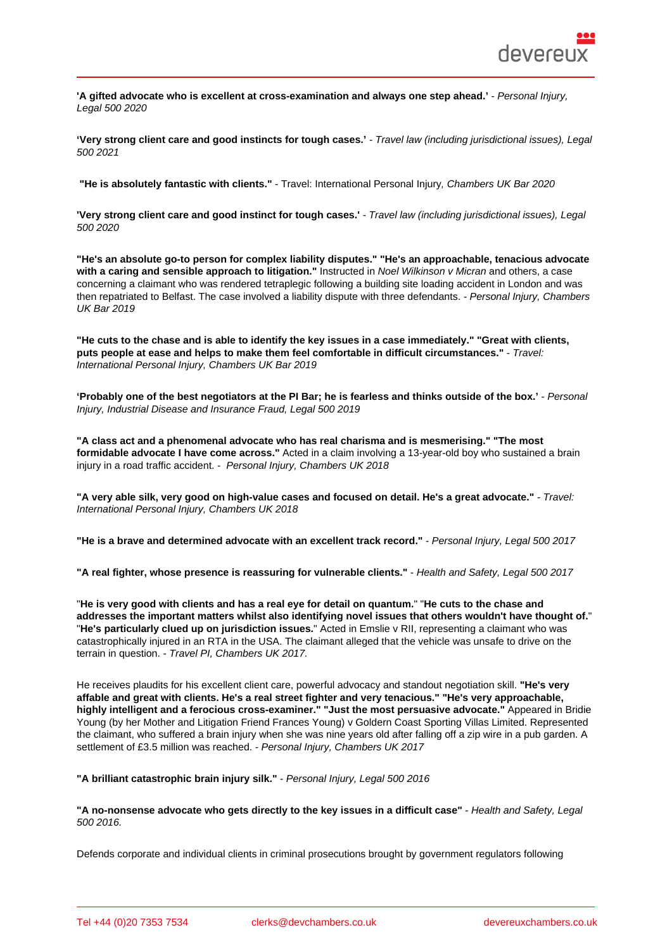'A gifted advocate who is excellent at cross-examination and always one step ahead.' - Personal Injury, Legal 500 2020

'Very strong client care and good instincts for tough cases.' - Travel law (including jurisdictional issues), Legal 500 2021

"He is absolutely fantastic with clients." - Travel: International Personal Injury, Chambers UK Bar 2020

'Very strong client care and good instinct for tough cases.' - Travel law (including jurisdictional issues), Legal 500 2020

"He's an absolute go-to person for complex liability disputes." "He's an approachable, tenacious advocate with a caring and sensible approach to litigation." Instructed in Noel Wilkinson v Micran and others, a case concerning a claimant who was rendered tetraplegic following a building site loading accident in London and was then repatriated to Belfast. The case involved a liability dispute with three defendants. - Personal Injury, Chambers UK Bar 2019

"He cuts to the chase and is able to identify the key issues in a case immediately." "Great with clients, puts people at ease and helps to make them feel comfortable in difficult circumstances." - Travel: International Personal Injury, Chambers UK Bar 2019

'Probably one of the best negotiators at the PI Bar; he is fearless and thinks outside of the box.' - Personal Injury, Industrial Disease and Insurance Fraud, Legal 500 2019

"A class act and a phenomenal advocate who has real charisma and is mesmerising." "The most formidable advocate I have come across." Acted in a claim involving a 13-year-old boy who sustained a brain injury in a road traffic accident. - Personal Injury, Chambers UK 2018

"A very able silk, very good on high-value cases and focused on detail. He's a great advocate." - Travel: International Personal Injury, Chambers UK 2018

"He is a brave and determined advocate with an excellent track record." - Personal Injury, Legal 500 2017

"A real fighter, whose presence is reassuring for vulnerable clients." - Health and Safety, Legal 500 2017

"He is very good with clients and has a real eye for detail on quantum. " "He cuts to the chase and addresses the important matters whilst also identifying novel issues that others wouldn't have thought of. " "He's particularly clued up on jurisdiction issues. " Acted in Emslie v RII, representing a claimant who was catastrophically injured in an RTA in the USA. The claimant alleged that the vehicle was unsafe to drive on the terrain in question. - Travel PI, Chambers UK 2017.

He receives plaudits for his excellent client care, powerful advocacy and standout negotiation skill. "He's very affable and great with clients. He's a real street fighter and very tenacious." "He's very approachable, highly intelligent and a ferocious cross-examiner." "Just the most persuasive advocate." Appeared in Bridie Young (by her Mother and Litigation Friend Frances Young) v Goldern Coast Sporting Villas Limited. Represented the claimant, who suffered a brain injury when she was nine years old after falling off a zip wire in a pub garden. A settlement of £3.5 million was reached. - Personal Injury, Chambers UK 2017

"A brilliant catastrophic brain injury silk." - Personal Injury, Legal 500 2016

"A no-nonsense advocate who gets directly to the key issues in a difficult case" - Health and Safety, Legal 500 2016.

Defends corporate and individual clients in criminal prosecutions brought by government regulators following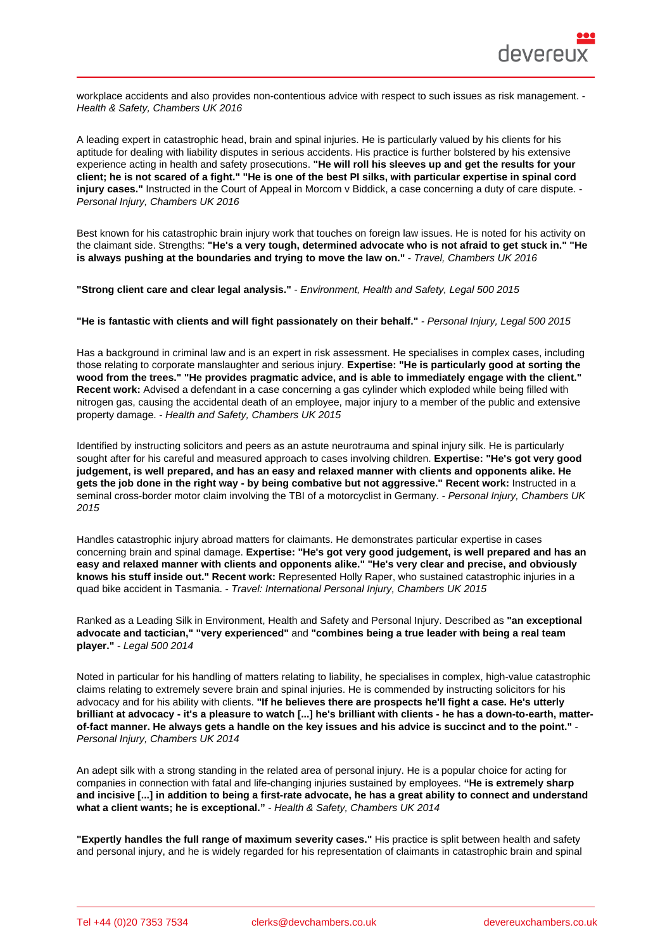workplace accidents and also provides non-contentious advice with respect to such issues as risk management. - Health & Safety, Chambers UK 2016

A leading expert in catastrophic head, brain and spinal injuries. He is particularly valued by his clients for his aptitude for dealing with liability disputes in serious accidents. His practice is further bolstered by his extensive experience acting in health and safety prosecutions. "He will roll his sleeves up and get the results for your client; he is not scared of a fight." "He is one of the best PI silks, with particular expertise in spinal cord injury cases." Instructed in the Court of Appeal in Morcom v Biddick, a case concerning a duty of care dispute. - Personal Injury, Chambers UK 2016

Best known for his catastrophic brain injury work that touches on foreign law issues. He is noted for his activity on the claimant side. Strengths: "He's a very tough, determined advocate who is not afraid to get stuck in." "He is always pushing at the boundaries and trying to move the law on." Travel, Chambers UK 2016

"Strong client care and clear legal analysis." - Environment, Health and Safety, Legal 500 2015

"He is fantastic with clients and will fight passionately on their behalf." - Personal Injury, Legal 500 2015

Has a background in criminal law and is an expert in risk assessment. He specialises in complex cases, including those relating to corporate manslaughter and serious injury. Expertise: "He is particularly good at sorting the wood from the trees." "He provides pragmatic advice, and is able to immediately engage with the client." Recent work: Advised a defendant in a case concerning a gas cylinder which exploded while being filled with nitrogen gas, causing the accidental death of an employee, major injury to a member of the public and extensive property damage. - Health and Safety, Chambers UK 2015

Identified by instructing solicitors and peers as an astute neurotrauma and spinal injury silk. He is particularly sought after for his careful and measured approach to cases involving children. Expertise: "He's got very good judgement, is well prepared, and has an easy and relaxed manner with clients and opponents alike. He gets the job done in the right way - by being combative but not aggressive." Recent work: Instructed in a seminal cross-border motor claim involving the TBI of a motorcyclist in Germany. - Personal Injury, Chambers UK 2015

Handles catastrophic injury abroad matters for claimants. He demonstrates particular expertise in cases concerning brain and spinal damage. Expertise: "He's got very good judgement, is well prepared and has an easy and relaxed manner with clients and opponents alike." "He's very clear and precise, and obviously knows his stuff inside out." Recent work: Represented Holly Raper, who sustained catastrophic injuries in a quad bike accident in Tasmania. - Travel: International Personal Injury, Chambers UK 2015

Ranked as a Leading Silk in Environment, Health and Safety and Personal Injury. Described as "an exceptional advocate and tactician," "very experienced" and "combines being a true leader with being a real team player." - Legal 500 2014

Noted in particular for his handling of matters relating to liability, he specialises in complex, high-value catastrophic claims relating to extremely severe brain and spinal injuries. He is commended by instructing solicitors for his advocacy and for his ability with clients. "If he believes there are prospects he'll fight a case. He's utterly brilliant at advocacy - it's a pleasure to watch [...] he's brilliant with clients - he has a down-to-earth, matterof-fact manner. He always gets a handle on the key issues and his advice is succinct and to the point." Personal Injury, Chambers UK 2014

An adept silk with a strong standing in the related area of personal injury. He is a popular choice for acting for companies in connection with fatal and life-changing injuries sustained by employees. "He is extremely sharp and incisive [...] in addition to being a first-rate advocate, he has a great ability to connect and understand what a client wants; he is exceptional." - Health & Safety, Chambers UK 2014

"Expertly handles the full range of maximum severity cases." His practice is split between health and safety and personal injury, and he is widely regarded for his representation of claimants in catastrophic brain and spinal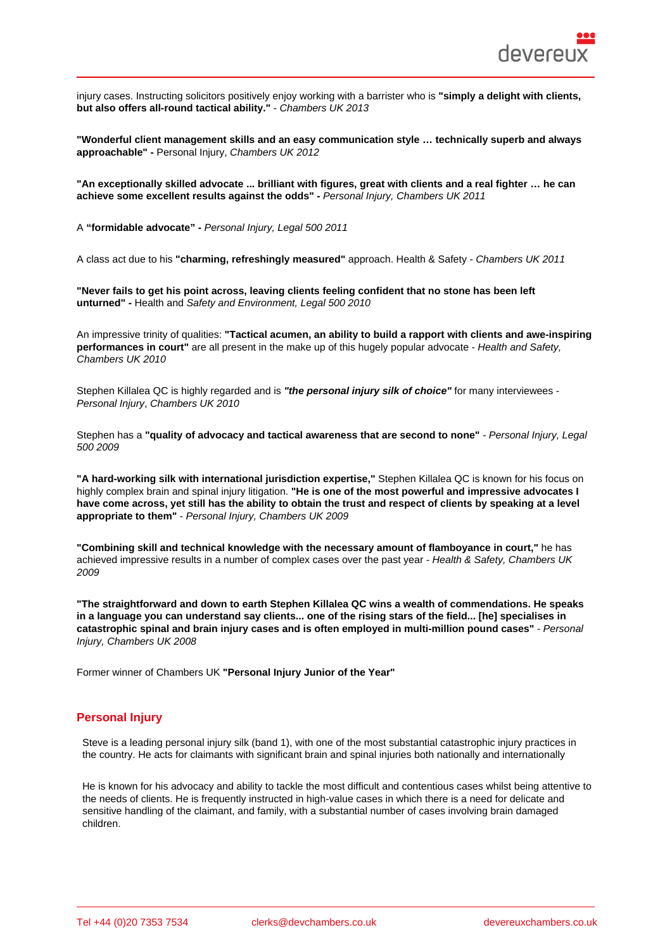injury cases. Instructing solicitors positively enjoy working with a barrister who is "simply a delight with clients, but also offers all-round tactical ability." - Chambers UK 2013

"Wonderful client management skills and an easy communication style … technically superb and always approachable" - Personal Injury, Chambers UK 2012

"An exceptionally skilled advocate ... brilliant with figures, great with clients and a real fighter … he can achieve some excellent results against the odds" - Personal Injury, Chambers UK 2011

A "formidable advocate" - Personal Injury, Legal 500 2011

A class act due to his "charming, refreshingly measured" approach. Health & Safety - Chambers UK 2011

"Never fails to get his point across, leaving clients feeling confident that no stone has been left unturned" - Health and Safety and Environment, Legal 500 2010

An impressive trinity of qualities: "Tactical acumen, an ability to build a rapport with clients and awe-inspiring performances in court" are all present in the make up of this hugely popular advocate - Health and Safety, Chambers UK 2010

Stephen Killalea QC is highly regarded and is "the personal injury silk of choice" for many interviewees -Personal Injury, Chambers UK 2010

Stephen has a "quality of advocacy and tactical awareness that are second to none" - Personal Injury, Legal 500 2009

"A hard-working silk with international jurisdiction expertise," Stephen Killalea QC is known for his focus on highly complex brain and spinal injury litigation. "He is one of the most powerful and impressive advocates I have come across, yet still has the ability to obtain the trust and respect of clients by speaking at a level appropriate to them" - Personal Injury, Chambers UK 2009

"Combining skill and technical knowledge with the necessary amount of flamboyance in court," he has achieved impressive results in a number of complex cases over the past year - Health & Safety, Chambers UK 2009

"The straightforward and down to earth Stephen Killalea QC wins a wealth of commendations. He speaks in a language you can understand say clients... one of the rising stars of the field... [he] specialises in catastrophic spinal and brain injury cases and is often employed in multi-million pound cases" - Personal Injury, Chambers UK 2008

Former winner of Chambers UK "Personal Injury Junior of the Year"

#### Personal Injury

Steve is a leading personal injury silk (band 1), with one of the most substantial catastrophic injury practices in the country. He acts for claimants with significant brain and spinal injuries both nationally and internationally

He is known for his advocacy and ability to tackle the most difficult and contentious cases whilst being attentive to the needs of clients. He is frequently instructed in high-value cases in which there is a need for delicate and sensitive handling of the claimant, and family, with a substantial number of cases involving brain damaged children.